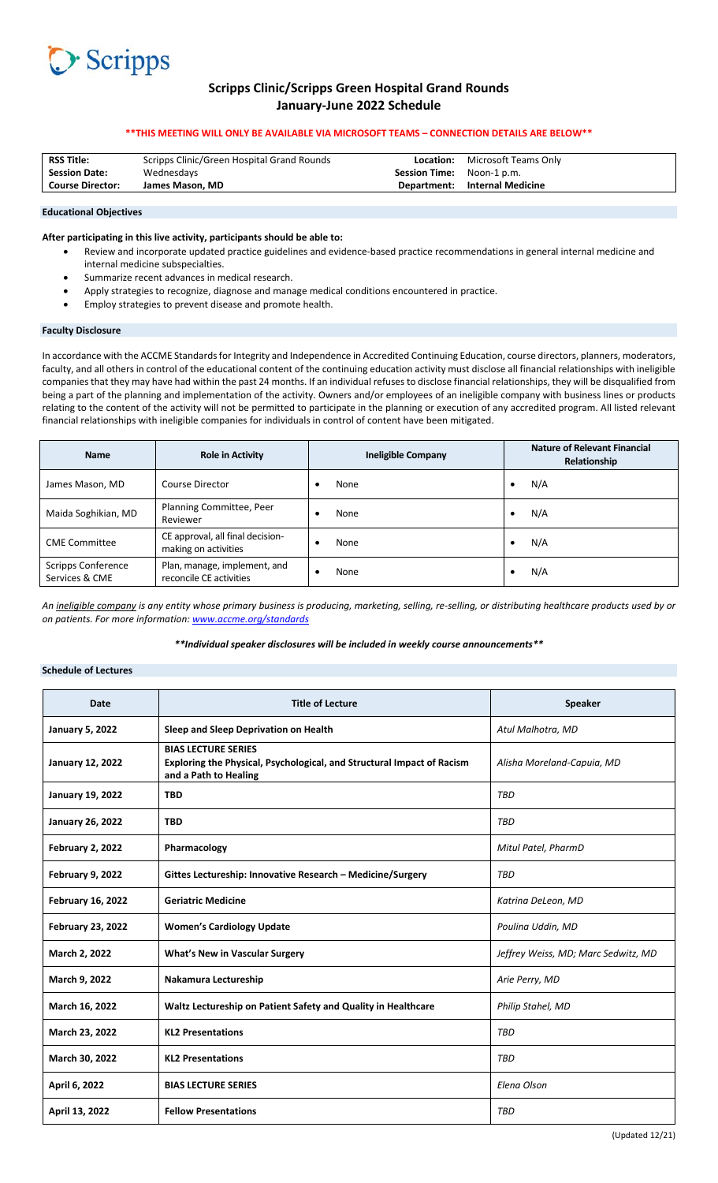

# **Scripps Clinic/Scripps Green Hospital Grand Rounds January‐June 2022 Schedule**

### **\*\*THIS MEETING WILL ONLY BE AVAILABLE VIA MICROSOFT TEAMS – CONNECTION DETAILS ARE BELOW\*\***

| <b>RSS Title:</b>       | Scripps Clinic/Green Hospital Grand Rounds | Location:                        | Microsoft Teams Only |
|-------------------------|--------------------------------------------|----------------------------------|----------------------|
| <b>Session Date:</b>    | Wednesdays                                 | <b>Session Time:</b> Noon-1 p.m. |                      |
| <b>Course Director:</b> | James Mason. MD                            | Department:                      | Internal Medicine    |
|                         |                                            |                                  |                      |

#### **Educational Objectives**

### **After participating in this live activity, participants should be able to:**

- Review and incorporate updated practice guidelines and evidence‐based practice recommendations in general internal medicine and internal medicine subspecialties.
- Summarize recent advances in medical research.
- Apply strategies to recognize, diagnose and manage medical conditions encountered in practice.
- Employ strategies to prevent disease and promote health.

### **Faculty Disclosure**

In accordance with the ACCME Standards for Integrity and Independence in Accredited Continuing Education, course directors, planners, moderators, faculty, and all others in control of the educational content of the continuing education activity must disclose all financial relationships with ineligible companies that they may have had within the past 24 months. If an individual refuses to disclose financial relationships, they will be disqualified from being a part of the planning and implementation of the activity. Owners and/or employees of an ineligible company with business lines or products relating to the content of the activity will not be permitted to participate in the planning or execution of any accredited program. All listed relevant financial relationships with ineligible companies for individuals in control of content have been mitigated.

| <b>Name</b>                                 | <b>Role in Activity</b>                                  | <b>Ineligible Company</b> |   | <b>Nature of Relevant Financial</b><br>Relationship |
|---------------------------------------------|----------------------------------------------------------|---------------------------|---|-----------------------------------------------------|
| James Mason, MD                             | Course Director                                          | None                      | ٠ | N/A                                                 |
| Maida Soghikian, MD                         | Planning Committee, Peer<br>Reviewer                     | None                      | ٠ | N/A                                                 |
| <b>CME</b> Committee                        | CE approval, all final decision-<br>making on activities | None                      |   | N/A                                                 |
| <b>Scripps Conference</b><br>Services & CME | Plan, manage, implement, and<br>reconcile CE activities  | None                      |   | N/A                                                 |

*An ineligible company is any entity whose primary business is producing, marketing, selling, re‐selling, or distributing healthcare products used by or on patients. For more information: www.accme.org/standards*

*\*\*Individual speaker disclosures will be included in weekly course announcements\*\** 

## **Schedule of Lectures**

| <b>Date</b>              | <b>Title of Lecture</b>                                                                                                       | <b>Speaker</b>                      |
|--------------------------|-------------------------------------------------------------------------------------------------------------------------------|-------------------------------------|
| <b>January 5, 2022</b>   | Sleep and Sleep Deprivation on Health                                                                                         | Atul Malhotra, MD                   |
| <b>January 12, 2022</b>  | <b>BIAS LECTURE SERIES</b><br>Exploring the Physical, Psychological, and Structural Impact of Racism<br>and a Path to Healing | Alisha Moreland-Capuia, MD          |
| <b>January 19, 2022</b>  | <b>TBD</b>                                                                                                                    | TBD                                 |
| <b>January 26, 2022</b>  | <b>TBD</b>                                                                                                                    | TBD                                 |
| <b>February 2, 2022</b>  | Pharmacology                                                                                                                  | Mitul Patel, PharmD                 |
| <b>February 9, 2022</b>  | Gittes Lectureship: Innovative Research - Medicine/Surgery                                                                    | TBD                                 |
| <b>February 16, 2022</b> | <b>Geriatric Medicine</b>                                                                                                     | Katrina DeLeon, MD                  |
| <b>February 23, 2022</b> | <b>Women's Cardiology Update</b>                                                                                              | Poulina Uddin, MD                   |
| March 2, 2022            | <b>What's New in Vascular Surgery</b>                                                                                         | Jeffrey Weiss, MD; Marc Sedwitz, MD |
| March 9, 2022            | Nakamura Lectureship                                                                                                          | Arie Perry, MD                      |
| March 16, 2022           | Waltz Lectureship on Patient Safety and Quality in Healthcare                                                                 | Philip Stahel, MD                   |
| March 23, 2022           | <b>KL2 Presentations</b>                                                                                                      | TBD                                 |
| March 30, 2022           | <b>KL2 Presentations</b>                                                                                                      | TBD                                 |
| April 6, 2022            | <b>BIAS LECTURE SERIES</b>                                                                                                    | Elena Olson                         |
| April 13, 2022           | <b>Fellow Presentations</b>                                                                                                   | TBD                                 |